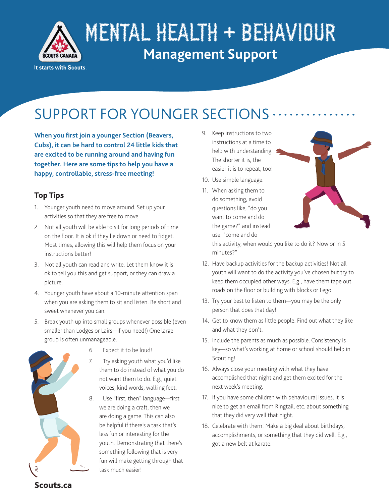

# MENTAL HEALTH + BEHAVIOUR **Management Support**

#### It starts with Scouts.

## SUPPORT FOR YOUNGER SECTIONS

**When you first join a younger Section (Beavers, Cubs), it can be hard to control 24 little kids that are excited to be running around and having fun together. Here are some tips to help you have a happy, controllable, stress-free meeting!**

## Top Tips

- 1. Younger youth need to move around. Set up your activities so that they are free to move.
- 2. Not all youth will be able to sit for long periods of time on the floor. It is ok if they lie down or need to fidget. Most times, allowing this will help them focus on your instructions better!
- 3. Not all youth can read and write. Let them know it is ok to tell you this and get support, or they can draw a picture.
- 4. Younger youth have about a 10-minute attention span when you are asking them to sit and listen. Be short and sweet whenever you can.
- 5. Break youth up into small groups whenever possible (even smaller than Lodges or Lairs—if you need!) One large group is often unmanageable.



- 6. Expect it to be loud!
- 7. Try asking youth what you'd like them to do instead of what you do not want them to do. E.g., quiet voices, kind words, walking feet.
- 8. Use "first, then" language—first we are doing a craft, then we are doing a game. This can also be helpful if there's a task that's less fun or interesting for the youth. Demonstrating that there's something following that is very fun will make getting through that task much easier!
- 9. Keep instructions to two instructions at a time to help with understanding. The shorter it is, the easier it is to repeat, too!
- 10. Use simple language.
- 11. When asking them to do something, avoid questions like, "do you want to come and do the game?" and instead use, "come and do



this activity, when would you like to do it? Now or in 5 minutes?"

- 12. Have backup activities for the backup activities! Not all youth will want to do the activity you've chosen but try to keep them occupied other ways. E.g., have them tape out roads on the floor or building with blocks or Lego.
- 13. Try your best to listen to them—you may be the only person that does that day!
- 14. Get to know them as little people. Find out what they like and what they don't.
- 15. Include the parents as much as possible. Consistency is key—so what's working at home or school should help in Scouting!
- 16. Always close your meeting with what they have accomplished that night and get them excited for the next week's meeting.
- 17. If you have some children with behavioural issues, it is nice to get an email from Ringtail, etc. about something that they did very well that night.
- 18. Celebrate with them! Make a big deal about birthdays, accomplishments, or something that they did well. E.g., got a new belt at karate.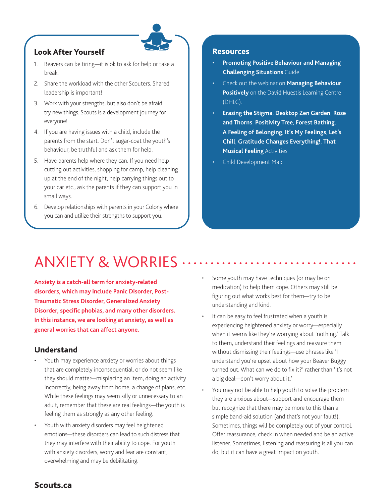## Look After Yourself

- 1. Beavers can be tiring—it is ok to ask for help or take a break.
- 2. Share the workload with the other Scouters. Shared leadership is important!
- 3. Work with your strengths, but also don't be afraid try new things. Scouts is a development journey for everyone!
- 4. If you are having issues with a child, include the parents from the start. Don't sugar-coat the youth's behaviour, be truthful and ask them for help.
- 5. Have parents help where they can. If you need help cutting out activities, shopping for camp, help cleaning up at the end of the night, help carrying things out to your car etc., ask the parents if they can support you in small ways.
- 6. Develop relationships with parents in your Colony where you can and utilize their strengths to support you.

#### Resources

- **[Promoting Positive Behaviour and Managing](https://scoutsca.s3.amazonaws.com/2019/02/behaviour-guide-en.pdf)  [Challenging Situations](https://scoutsca.s3.amazonaws.com/2019/02/behaviour-guide-en.pdf)** Guide
- Check out the webinar on **[Managing Behaviour](https://www.youtube.com/watch?v=VS_HKT4RtxU)  [Positively](https://www.youtube.com/watch?v=VS_HKT4RtxU)** on the David Huestis Learning Centre (DHLC).
- **[Erasing the Stigma](https://www.scouts.ca/resources/activity-finder/activity-finder/erasing-the-stigma.html)**, **[Desktop Zen Garden](https://www.scouts.ca/resources/activity-finder/activity-finder/desktop-zen-garden.html)**, **[Rose](https://www.scouts.ca/resources/activity-finder/activity-finder/roses-and-thorns.html)  [and Thorns](https://www.scouts.ca/resources/activity-finder/activity-finder/roses-and-thorns.html)**, **[Positivity Tree](https://www.scouts.ca/resources/activity-finder/positivity-tree.html)**, **[Forest Bathing](https://www.scouts.ca/resources/activity-finder/activity-finder/forest-bathing.html)**, **[A Feeling of Belonging](https://www.scouts.ca/resources/activity-finder/a-feeling-of-belonging.html)**, **[It's My Feelings](https://www.scouts.ca/resources/activity-finder/activity-finder/its-my-feelings.html)**, **[Let's](https://www.scouts.ca/resources/activity-finder/lets-chill.html)  [Chill](https://www.scouts.ca/resources/activity-finder/lets-chill.html)**, **[Gratitude Changes Everything!](https://www.scouts.ca/resources/activity-finder/gratitude-changes-everything!.html/)**, **[That](https://www.scouts.ca/resources/activity-finder/that-musical-feeling.html)  [Musical Feeling](https://www.scouts.ca/resources/activity-finder/that-musical-feeling.html)** Activities
- Child Development Map

## ANXIETY & WORRIES

**Anxiety is a catch-all term for anxiety-related disorders, which may include Panic Disorder, Post-Traumatic Stress Disorder, Generalized Anxiety Disorder, specific phobias, and many other disorders. In this instance, we are looking at anxiety, as well as general worries that can affect anyone.** 

### Understand

- Youth may experience anxiety or worries about things that are completely inconsequential, or do not seem like they should matter—misplacing an item, doing an activity incorrectly, being away from home, a change of plans, etc. While these feelings may seem silly or unnecessary to an adult, remember that these are real feelings—the youth is feeling them as strongly as any other feeling.
- Youth with anxiety disorders may feel heightened emotions—these disorders can lead to such distress that they may interfere with their ability to cope. For youth with anxiety disorders, worry and fear are constant, overwhelming and may be debilitating.
- Some youth may have techniques (or may be on medication) to help them cope. Others may still be figuring out what works best for them—try to be understanding and kind.
- It can be easy to feel frustrated when a youth is experiencing heightened anxiety or worry—especially when it seems like they're worrying about 'nothing.' Talk to them, understand their feelings and reassure them without dismissing their feelings—use phrases like 'I understand you're upset about how your Beaver Buggy turned out. What can we do to fix it?' rather than 'It's not a big deal—don't worry about it.'
- You may not be able to help youth to solve the problem they are anxious about—support and encourage them but recognize that there may be more to this than a simple band-aid solution (and that's not your fault!). Sometimes, things will be completely out of your control. Offer reassurance, check in when needed and be an active listener. Sometimes, listening and reassuring is all you can do, but it can have a great impact on youth.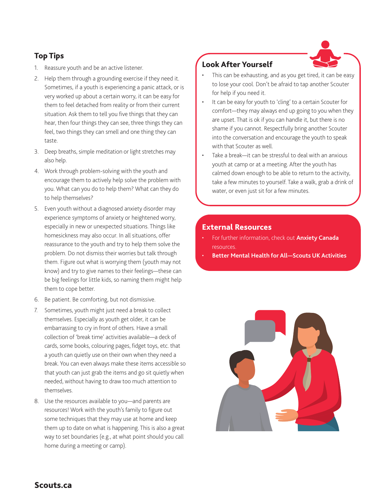## Top Tips

- 1. Reassure youth and be an active listener.
- 2. Help them through a grounding exercise if they need it. Sometimes, if a youth is experiencing a panic attack, or is very worked up about a certain worry, it can be easy for them to feel detached from reality or from their current situation. Ask them to tell you five things that they can hear, then four things they can see, three things they can feel, two things they can smell and one thing they can taste.
- 3. Deep breaths, simple meditation or light stretches may also help.
- 4. Work through problem-solving with the youth and encourage them to actively help solve the problem with you. What can you do to help them? What can they do to help themselves?
- 5. Even youth without a diagnosed anxiety disorder may experience symptoms of anxiety or heightened worry, especially in new or unexpected situations. Things like homesickness may also occur. In all situations, offer reassurance to the youth and try to help them solve the problem. Do not dismiss their worries but talk through them. Figure out what is worrying them (youth may not know) and try to give names to their feelings—these can be big feelings for little kids, so naming them might help them to cope better.
- 6. Be patient. Be comforting, but not dismissive.
- 7. Sometimes, youth might just need a break to collect themselves. Especially as youth get older, it can be embarrassing to cry in front of others. Have a small collection of 'break time' activities available—a deck of cards, some books, colouring pages, fidget toys, etc. that a youth can quietly use on their own when they need a break. You can even always make these items accessible so that youth can just grab the items and go sit quietly when needed, without having to draw too much attention to themselves.
- 8. Use the resources available to you—and parents are resources! Work with the youth's family to figure out some techniques that they may use at home and keep them up to date on what is happening. This is also a great way to set boundaries (e.g., at what point should you call home during a meeting or camp).

## Look After Yourself

- This can be exhausting, and as you get tired, it can be easy to lose your cool. Don't be afraid to tap another Scouter for help if you need it.
- It can be easy for youth to 'cling' to a certain Scouter for comfort—they may always end up going to you when they are upset. That is ok if you can handle it, but there is no shame if you cannot. Respectfully bring another Scouter into the conversation and encourage the youth to speak with that Scouter as well.
- Take a break—it can be stressful to deal with an anxious youth at camp or at a meeting. After the youth has calmed down enough to be able to return to the activity, take a few minutes to yourself. Take a walk, grab a drink of water, or even just sit for a few minutes.

## External Resources

- For further information, check out **[Anxiety Canada](https://www.anxietycanada.com/learn-about-anxiety/anxiety-in-children/)**  resources.
- **[Better Mental Health for All—Scouts UK Activities](https://www.scouts.org.uk/about-us/help-others/community/better-mental-health-for-all/)**

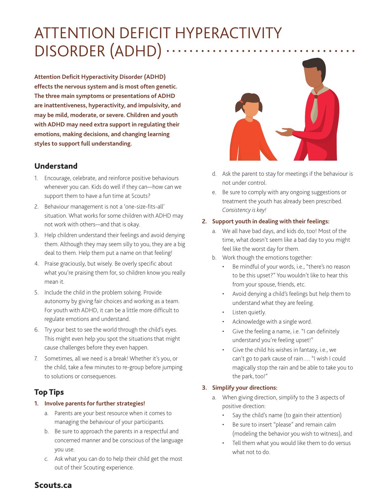## ATTENTION DEFICIT HYPERACTIVITY DISORDER (ADHD)

**Attention Deficit Hyperactivity Disorder (ADHD) effects the nervous system and is most often genetic. The three main symptoms or presentations of ADHD are inattentiveness, hyperactivity, and impulsivity, and may be mild, moderate, or severe. Children and youth with ADHD may need extra support in regulating their emotions, making decisions, and changing learning styles to support full understanding.** 

## Understand

- 1. Encourage, celebrate, and reinforce positive behaviours whenever you can. Kids do well if they can—how can we support them to have a fun time at Scouts?
- 2. Behaviour management is not a 'one-size-fits-all' situation. What works for some children with ADHD may not work with others—and that is okay.
- 3. Help children understand their feelings and avoid denying them. Although they may seem silly to you, they are a big deal to them. Help them put a name on that feeling!
- 4. Praise graciously, but wisely. Be overly specific about what you're praising them for, so children know you really mean it.
- 5. Include the child in the problem solving. Provide autonomy by giving fair choices and working as a team. For youth with ADHD, it can be a little more difficult to regulate emotions and understand.
- 6. Try your best to see the world through the child's eyes. This might even help you spot the situations that might cause challenges before they even happen.
- 7. Sometimes, all we need is a break! Whether it's you, or the child, take a few minutes to re-group before jumping to solutions or consequences.

## Top Tips

#### **1. Involve parents for further strategies!**

- a. Parents are your best resource when it comes to managing the behaviour of your participants.
- b. Be sure to approach the parents in a respectful and concerned manner and be conscious of the language you use.
- c. Ask what you can do to help their child get the most out of their Scouting experience.



- d. Ask the parent to stay for meetings if the behaviour is not under control.
- e. Be sure to comply with any ongoing suggestions or treatment the youth has already been prescribed. *Consistency is key!*

#### **2. Support youth in dealing with their feelings:**

- a. We all have bad days, and kids do, too! Most of the time, what doesn't seem like a bad day to you might feel like the worst day for them.
- b. Work though the emotions together:
	- Be mindful of your words, i.e., "there's no reason to be this upset?" You wouldn't like to hear this from your spouse, friends, etc.
	- Avoid denying a child's feelings but help them to understand what they are feeling.
	- Listen quietly.
	- Acknowledge with a single word.
	- Give the feeling a name, i.e. "I can definitely understand you're feeling upset!"
	- Give the child his wishes in fantasy, i.e., we can't go to park cause of rain…. "I wish I could magically stop the rain and be able to take you to the park, too!"

### **3. Simplify your directions:**

- a. When giving direction, simplify to the 3 aspects of positive direction:
	- Say the child's name (to gain their attention)
	- Be sure to insert "please" and remain calm (modeling the behavior you wish to witness), and
	- Tell them what you would like them to do versus what not to do.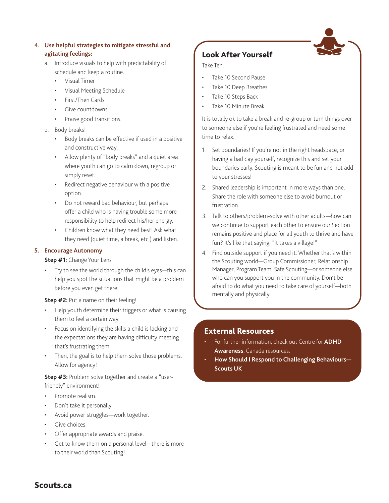#### **4. Use helpful strategies to mitigate stressful and agitating feelings:**

- a. Introduce visuals to help with predictability of schedule and keep a routine.
	- Visual Timer
	- Visual Meeting Schedule
	- First/Then Cards
	- Give countdowns.
	- Praise good transitions.
- b. Body breaks!
	- Body breaks can be effective if used in a positive and constructive way.
	- Allow plenty of "body breaks" and a quiet area where youth can go to calm down, regroup or simply reset.
	- Redirect negative behaviour with a positive option.
	- Do not reward bad behaviour, but perhaps offer a child who is having trouble some more responsibility to help redirect his/her energy.
	- Children know what they need best! Ask what they need (quiet time, a break, etc.) and listen.

#### **5. Encourage Autonomy**

#### **Step #1:** Change Your Lens

• Try to see the world through the child's eyes—this can help you spot the situations that might be a problem before you even get there.

#### **Step #2:** Put a name on their feeling!

- Help youth determine their triggers or what is causing them to feel a certain way.
- Focus on identifying the skills a child is lacking and the expectations they are having difficulty meeting that's frustrating them.
- Then, the goal is to help them solve those problems. Allow for agency!

#### **Step #3:** Problem solve together and create a "userfriendly" environment!

- Promote realism.
- Don't take it personally.
- Avoid power struggles-work together.
- Give choices.
- Offer appropriate awards and praise.
- Get to know them on a personal level-there is more to their world than Scouting!

## Look After Yourself

#### Take Ten:

- Take 10 Second Pause
- Take 10 Deep Breathes
- Take 10 Steps Back
- Take 10 Minute Break

It is totally ok to take a break and re-group or turn things over to someone else if you're feeling frustrated and need some time to relax.

- 1. Set boundaries! If you're not in the right headspace, or having a bad day yourself, recognize this and set your boundaries early. Scouting is meant to be fun and not add to your stresses!
- 2. Shared leadership is important in more ways than one. Share the role with someone else to avoid burnout or frustration.
- 3. Talk to others/problem-solve with other adults—how can we continue to support each other to ensure our Section remains positive and place for all youth to thrive and have fun? It's like that saying, "it takes a village!"
- 4. Find outside support if you need it. Whether that's within the Scouting world—Group Commissioner, Relationship Manager, Program Team, Safe Scouting—or someone else who can you support you in the community. Don't be afraid to do what you need to take care of yourself—both mentally and physically.

### External Resources

- For further information, check out Centre for **[ADHD](https://caddac.ca/)  [Awareness](https://caddac.ca/)**, Canada resources.
- **[How Should I Respond to Challenging Behaviours—](https://www.scouts.org.uk/volunteers/staying-safe-and-safeguarding/supporting-life-issues-and-young-people/volunteers-responsibilities/promoting-positive-behaviour/how-should-i-respond-to-challenging-behaviour/) [Scouts UK](https://www.scouts.org.uk/volunteers/staying-safe-and-safeguarding/supporting-life-issues-and-young-people/volunteers-responsibilities/promoting-positive-behaviour/how-should-i-respond-to-challenging-behaviour/)**